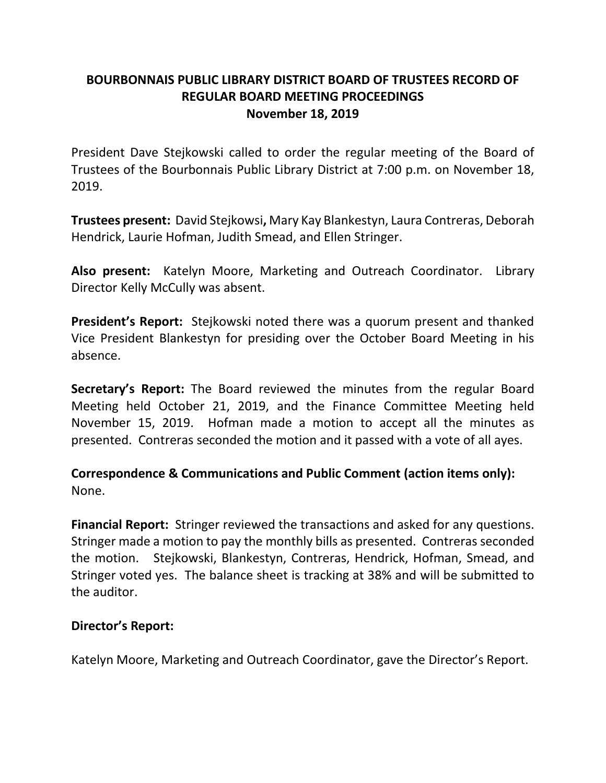# **BOURBONNAIS PUBLIC LIBRARY DISTRICT BOARD OF TRUSTEES RECORD OF REGULAR BOARD MEETING PROCEEDINGS November 18, 2019**

President Dave Stejkowski called to order the regular meeting of the Board of Trustees of the Bourbonnais Public Library District at 7:00 p.m. on November 18, 2019.

**Trustees present:** David Stejkowsi**,** Mary Kay Blankestyn, Laura Contreras, Deborah Hendrick, Laurie Hofman, Judith Smead, and Ellen Stringer.

**Also present:** Katelyn Moore, Marketing and Outreach Coordinator. Library Director Kelly McCully was absent.

**President's Report:** Stejkowski noted there was a quorum present and thanked Vice President Blankestyn for presiding over the October Board Meeting in his absence.

**Secretary's Report:** The Board reviewed the minutes from the regular Board Meeting held October 21, 2019, and the Finance Committee Meeting held November 15, 2019. Hofman made a motion to accept all the minutes as presented. Contreras seconded the motion and it passed with a vote of all ayes.

**Correspondence & Communications and Public Comment (action items only):** None.

**Financial Report:** Stringer reviewed the transactions and asked for any questions. Stringer made a motion to pay the monthly bills as presented. Contreras seconded the motion. Stejkowski, Blankestyn, Contreras, Hendrick, Hofman, Smead, and Stringer voted yes. The balance sheet is tracking at 38% and will be submitted to the auditor.

#### **Director's Report:**

Katelyn Moore, Marketing and Outreach Coordinator, gave the Director's Report.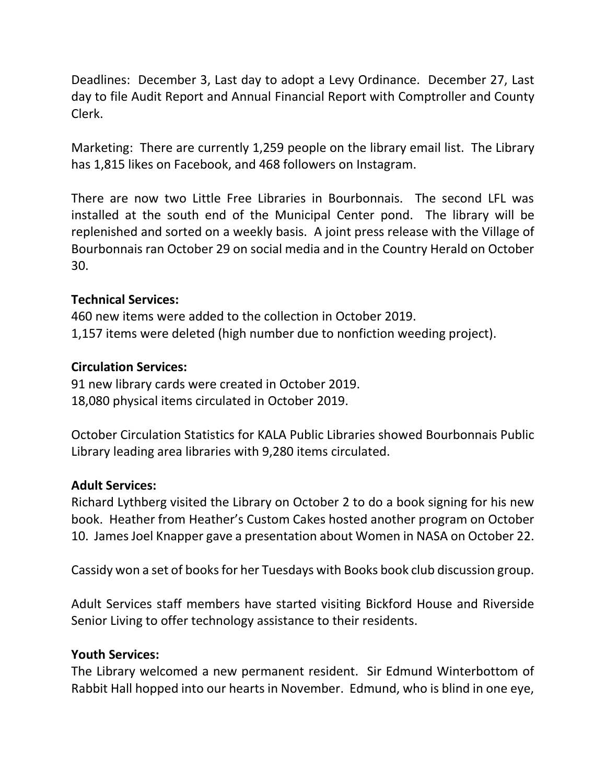Deadlines: December 3, Last day to adopt a Levy Ordinance. December 27, Last day to file Audit Report and Annual Financial Report with Comptroller and County Clerk.

Marketing: There are currently 1,259 people on the library email list. The Library has 1,815 likes on Facebook, and 468 followers on Instagram.

There are now two Little Free Libraries in Bourbonnais. The second LFL was installed at the south end of the Municipal Center pond. The library will be replenished and sorted on a weekly basis. A joint press release with the Village of Bourbonnais ran October 29 on social media and in the Country Herald on October 30.

## **Technical Services:**

460 new items were added to the collection in October 2019. 1,157 items were deleted (high number due to nonfiction weeding project).

## **Circulation Services:**

91 new library cards were created in October 2019. 18,080 physical items circulated in October 2019.

October Circulation Statistics for KALA Public Libraries showed Bourbonnais Public Library leading area libraries with 9,280 items circulated.

### **Adult Services:**

Richard Lythberg visited the Library on October 2 to do a book signing for his new book. Heather from Heather's Custom Cakes hosted another program on October 10. James Joel Knapper gave a presentation about Women in NASA on October 22.

Cassidy won a set of books for her Tuesdays with Books book club discussion group.

Adult Services staff members have started visiting Bickford House and Riverside Senior Living to offer technology assistance to their residents.

### **Youth Services:**

The Library welcomed a new permanent resident. Sir Edmund Winterbottom of Rabbit Hall hopped into our hearts in November. Edmund, who is blind in one eye,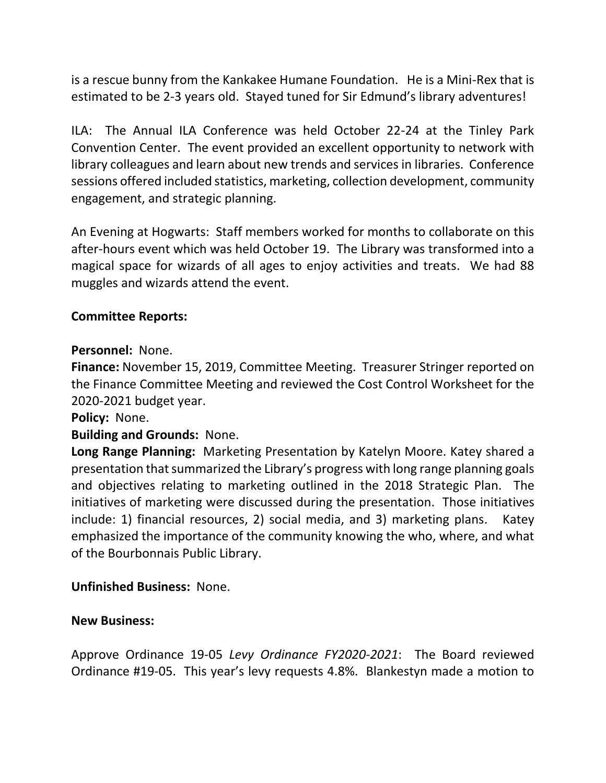is a rescue bunny from the Kankakee Humane Foundation. He is a Mini-Rex that is estimated to be 2-3 years old. Stayed tuned for Sir Edmund's library adventures!

ILA: The Annual ILA Conference was held October 22-24 at the Tinley Park Convention Center. The event provided an excellent opportunity to network with library colleagues and learn about new trends and services in libraries. Conference sessions offered included statistics, marketing, collection development, community engagement, and strategic planning.

An Evening at Hogwarts: Staff members worked for months to collaborate on this after-hours event which was held October 19. The Library was transformed into a magical space for wizards of all ages to enjoy activities and treats. We had 88 muggles and wizards attend the event.

### **Committee Reports:**

#### **Personnel:** None.

**Finance:** November 15, 2019, Committee Meeting. Treasurer Stringer reported on the Finance Committee Meeting and reviewed the Cost Control Worksheet for the 2020-2021 budget year.

### **Policy:** None.

### **Building and Grounds:** None.

**Long Range Planning:** Marketing Presentation by Katelyn Moore. Katey shared a presentation that summarized the Library's progress with long range planning goals and objectives relating to marketing outlined in the 2018 Strategic Plan. The initiatives of marketing were discussed during the presentation. Those initiatives include: 1) financial resources, 2) social media, and 3) marketing plans. Katey emphasized the importance of the community knowing the who, where, and what of the Bourbonnais Public Library.

### **Unfinished Business:** None.

#### **New Business:**

Approve Ordinance 19-05 *Levy Ordinance FY2020-2021*: The Board reviewed Ordinance #19-05. This year's levy requests 4.8%. Blankestyn made a motion to